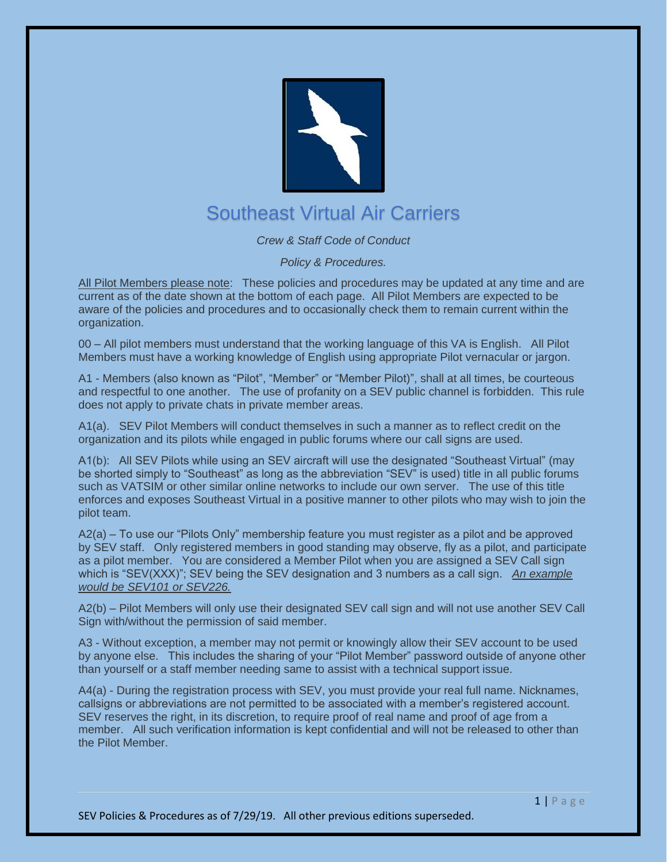

## Southeast Virtual Air Carriers

## *Crew & Staff Code of Conduct*

*Policy & Procedures.*

All Pilot Members please note: These policies and procedures may be updated at any time and are current as of the date shown at the bottom of each page. All Pilot Members are expected to be aware of the policies and procedures and to occasionally check them to remain current within the organization.

00 – All pilot members must understand that the working language of this VA is English. All Pilot Members must have a working knowledge of English using appropriate Pilot vernacular or jargon.

A1 - Members (also known as "Pilot", "Member" or "Member Pilot)", shall at all times, be courteous and respectful to one another. The use of profanity on a SEV public channel is forbidden. This rule does not apply to private chats in private member areas.

A1(a). SEV Pilot Members will conduct themselves in such a manner as to reflect credit on the organization and its pilots while engaged in public forums where our call signs are used.

A1(b): All SEV Pilots while using an SEV aircraft will use the designated "Southeast Virtual" (may be shorted simply to "Southeast" as long as the abbreviation "SEV" is used) title in all public forums such as VATSIM or other similar online networks to include our own server. The use of this title enforces and exposes Southeast Virtual in a positive manner to other pilots who may wish to join the pilot team.

A2(a) – To use our "Pilots Only" membership feature you must register as a pilot and be approved by SEV staff. Only registered members in good standing may observe, fly as a pilot, and participate as a pilot member. You are considered a Member Pilot when you are assigned a SEV Call sign which is "SEV(XXX)"; SEV being the SEV designation and 3 numbers as a call sign. *An example would be SEV101 or SEV226.*

A2(b) – Pilot Members will only use their designated SEV call sign and will not use another SEV Call Sign with/without the permission of said member.

A3 - Without exception, a member may not permit or knowingly allow their SEV account to be used by anyone else. This includes the sharing of your "Pilot Member" password outside of anyone other than yourself or a staff member needing same to assist with a technical support issue.

A4(a) - During the registration process with SEV, you must provide your real full name. Nicknames, callsigns or abbreviations are not permitted to be associated with a member's registered account. SEV reserves the right, in its discretion, to require proof of real name and proof of age from a member. All such verification information is kept confidential and will not be released to other than the Pilot Member.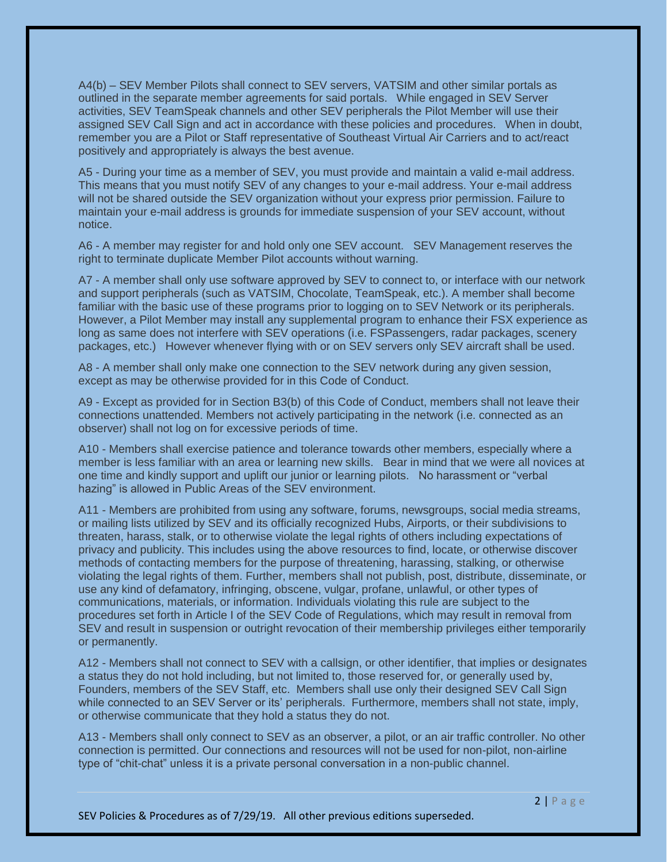A4(b) – SEV Member Pilots shall connect to SEV servers, VATSIM and other similar portals as outlined in the separate member agreements for said portals. While engaged in SEV Server activities, SEV TeamSpeak channels and other SEV peripherals the Pilot Member will use their assigned SEV Call Sign and act in accordance with these policies and procedures. When in doubt, remember you are a Pilot or Staff representative of Southeast Virtual Air Carriers and to act/react positively and appropriately is always the best avenue.

A5 - During your time as a member of SEV, you must provide and maintain a valid e-mail address. This means that you must notify SEV of any changes to your e-mail address. Your e-mail address will not be shared outside the SEV organization without your express prior permission. Failure to maintain your e-mail address is grounds for immediate suspension of your SEV account, without notice.

A6 - A member may register for and hold only one SEV account. SEV Management reserves the right to terminate duplicate Member Pilot accounts without warning.

A7 - A member shall only use software approved by SEV to connect to, or interface with our network and support peripherals (such as VATSIM, Chocolate, TeamSpeak, etc.). A member shall become familiar with the basic use of these programs prior to logging on to SEV Network or its peripherals. However, a Pilot Member may install any supplemental program to enhance their FSX experience as long as same does not interfere with SEV operations (i.e. FSPassengers, radar packages, scenery packages, etc.) However whenever flying with or on SEV servers only SEV aircraft shall be used.

A8 - A member shall only make one connection to the SEV network during any given session, except as may be otherwise provided for in this Code of Conduct.

A9 - Except as provided for in Section B3(b) of this Code of Conduct, members shall not leave their connections unattended. Members not actively participating in the network (i.e. connected as an observer) shall not log on for excessive periods of time.

A10 - Members shall exercise patience and tolerance towards other members, especially where a member is less familiar with an area or learning new skills. Bear in mind that we were all novices at one time and kindly support and uplift our junior or learning pilots. No harassment or "verbal hazing" is allowed in Public Areas of the SEV environment.

A11 - Members are prohibited from using any software, forums, newsgroups, social media streams, or mailing lists utilized by SEV and its officially recognized Hubs, Airports, or their subdivisions to threaten, harass, stalk, or to otherwise violate the legal rights of others including expectations of privacy and publicity. This includes using the above resources to find, locate, or otherwise discover methods of contacting members for the purpose of threatening, harassing, stalking, or otherwise violating the legal rights of them. Further, members shall not publish, post, distribute, disseminate, or use any kind of defamatory, infringing, obscene, vulgar, profane, unlawful, or other types of communications, materials, or information. Individuals violating this rule are subject to the procedures set forth in Article I of the SEV Code of Regulations, which may result in removal from SEV and result in suspension or outright revocation of their membership privileges either temporarily or permanently.

A12 - Members shall not connect to SEV with a callsign, or other identifier, that implies or designates a status they do not hold including, but not limited to, those reserved for, or generally used by, Founders, members of the SEV Staff, etc. Members shall use only their designed SEV Call Sign while connected to an SEV Server or its' peripherals. Furthermore, members shall not state, imply, or otherwise communicate that they hold a status they do not.

A13 - Members shall only connect to SEV as an observer, a pilot, or an air traffic controller. No other connection is permitted. Our connections and resources will not be used for non-pilot, non-airline type of "chit-chat" unless it is a private personal conversation in a non-public channel.

SEV Policies & Procedures as of 7/29/19. All other previous editions superseded.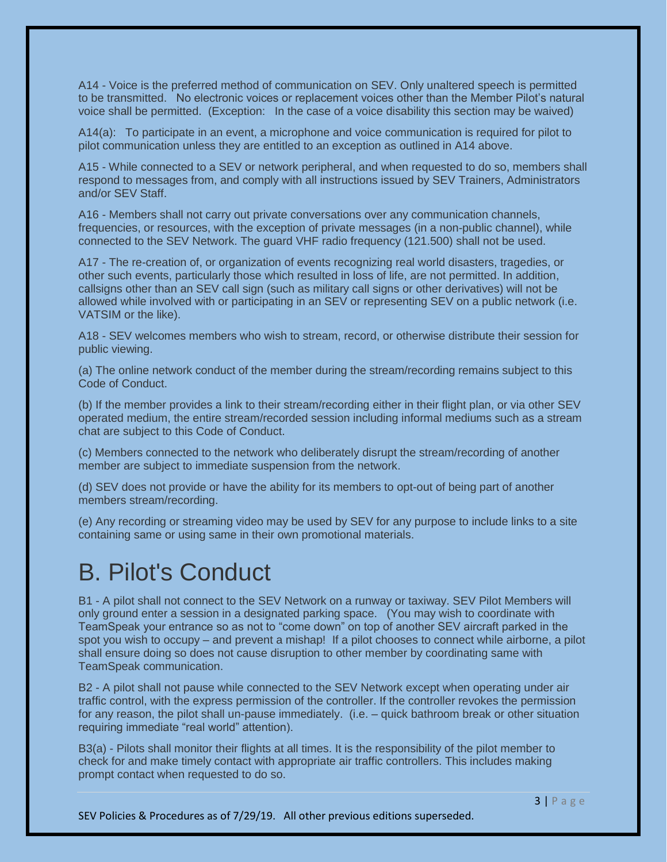A14 - Voice is the preferred method of communication on SEV. Only unaltered speech is permitted to be transmitted. No electronic voices or replacement voices other than the Member Pilot's natural voice shall be permitted. (Exception: In the case of a voice disability this section may be waived)

A14(a): To participate in an event, a microphone and voice communication is required for pilot to pilot communication unless they are entitled to an exception as outlined in A14 above.

A15 - While connected to a SEV or network peripheral, and when requested to do so, members shall respond to messages from, and comply with all instructions issued by SEV Trainers, Administrators and/or SEV Staff.

A16 - Members shall not carry out private conversations over any communication channels, frequencies, or resources, with the exception of private messages (in a non-public channel), while connected to the SEV Network. The guard VHF radio frequency (121.500) shall not be used.

A17 - The re-creation of, or organization of events recognizing real world disasters, tragedies, or other such events, particularly those which resulted in loss of life, are not permitted. In addition, callsigns other than an SEV call sign (such as military call signs or other derivatives) will not be allowed while involved with or participating in an SEV or representing SEV on a public network (i.e. VATSIM or the like).

A18 - SEV welcomes members who wish to stream, record, or otherwise distribute their session for public viewing.

(a) The online network conduct of the member during the stream/recording remains subject to this Code of Conduct.

(b) If the member provides a link to their stream/recording either in their flight plan, or via other SEV operated medium, the entire stream/recorded session including informal mediums such as a stream chat are subject to this Code of Conduct.

(c) Members connected to the network who deliberately disrupt the stream/recording of another member are subject to immediate suspension from the network.

(d) SEV does not provide or have the ability for its members to opt-out of being part of another members stream/recording.

(e) Any recording or streaming video may be used by SEV for any purpose to include links to a site containing same or using same in their own promotional materials.

## B. Pilot's Conduct

B1 - A pilot shall not connect to the SEV Network on a runway or taxiway. SEV Pilot Members will only ground enter a session in a designated parking space. (You may wish to coordinate with TeamSpeak your entrance so as not to "come down" on top of another SEV aircraft parked in the spot you wish to occupy – and prevent a mishap! If a pilot chooses to connect while airborne, a pilot shall ensure doing so does not cause disruption to other member by coordinating same with TeamSpeak communication.

B2 - A pilot shall not pause while connected to the SEV Network except when operating under air traffic control, with the express permission of the controller. If the controller revokes the permission for any reason, the pilot shall un-pause immediately. (i.e. – quick bathroom break or other situation requiring immediate "real world" attention).

B3(a) - Pilots shall monitor their flights at all times. It is the responsibility of the pilot member to check for and make timely contact with appropriate air traffic controllers. This includes making prompt contact when requested to do so.

SEV Policies & Procedures as of 7/29/19. All other previous editions superseded.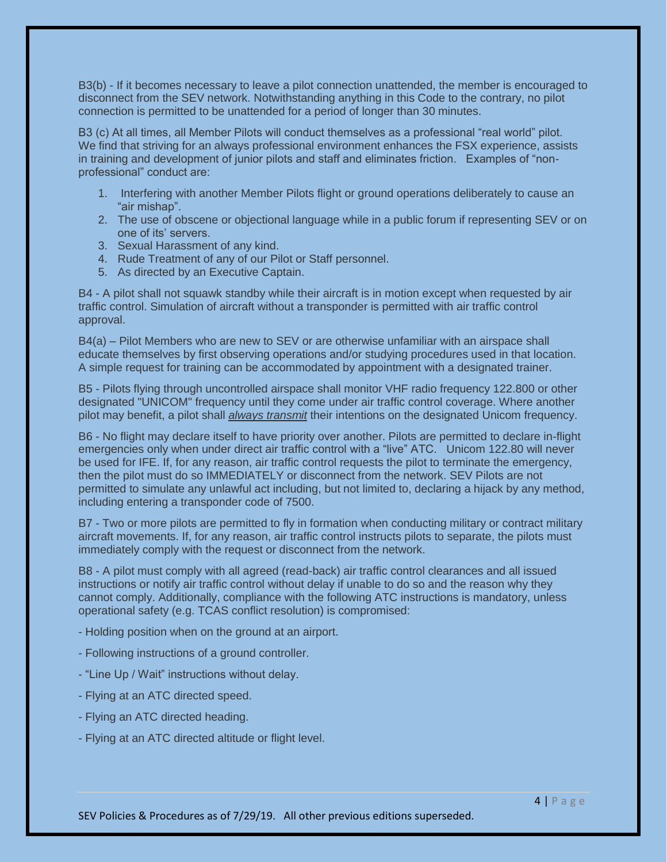B3(b) - If it becomes necessary to leave a pilot connection unattended, the member is encouraged to disconnect from the SEV network. Notwithstanding anything in this Code to the contrary, no pilot connection is permitted to be unattended for a period of longer than 30 minutes.

B3 (c) At all times, all Member Pilots will conduct themselves as a professional "real world" pilot. We find that striving for an always professional environment enhances the FSX experience, assists in training and development of junior pilots and staff and eliminates friction. Examples of "nonprofessional" conduct are:

- 1. Interfering with another Member Pilots flight or ground operations deliberately to cause an "air mishap".
- 2. The use of obscene or objectional language while in a public forum if representing SEV or on one of its' servers.
- 3. Sexual Harassment of any kind.
- 4. Rude Treatment of any of our Pilot or Staff personnel.
- 5. As directed by an Executive Captain.

B4 - A pilot shall not squawk standby while their aircraft is in motion except when requested by air traffic control. Simulation of aircraft without a transponder is permitted with air traffic control approval.

B4(a) – Pilot Members who are new to SEV or are otherwise unfamiliar with an airspace shall educate themselves by first observing operations and/or studying procedures used in that location. A simple request for training can be accommodated by appointment with a designated trainer.

B5 - Pilots flying through uncontrolled airspace shall monitor VHF radio frequency 122.800 or other designated "UNICOM" frequency until they come under air traffic control coverage. Where another pilot may benefit, a pilot shall *always transmit* their intentions on the designated Unicom frequency.

B6 - No flight may declare itself to have priority over another. Pilots are permitted to declare in-flight emergencies only when under direct air traffic control with a "live" ATC. Unicom 122.80 will never be used for IFE. If, for any reason, air traffic control requests the pilot to terminate the emergency, then the pilot must do so IMMEDIATELY or disconnect from the network. SEV Pilots are not permitted to simulate any unlawful act including, but not limited to, declaring a hijack by any method, including entering a transponder code of 7500.

B7 - Two or more pilots are permitted to fly in formation when conducting military or contract military aircraft movements. If, for any reason, air traffic control instructs pilots to separate, the pilots must immediately comply with the request or disconnect from the network.

B8 - A pilot must comply with all agreed (read-back) air traffic control clearances and all issued instructions or notify air traffic control without delay if unable to do so and the reason why they cannot comply. Additionally, compliance with the following ATC instructions is mandatory, unless operational safety (e.g. TCAS conflict resolution) is compromised:

- Holding position when on the ground at an airport.
- Following instructions of a ground controller.
- "Line Up / Wait" instructions without delay.
- Flying at an ATC directed speed.
- Flying an ATC directed heading.
- Flying at an ATC directed altitude or flight level.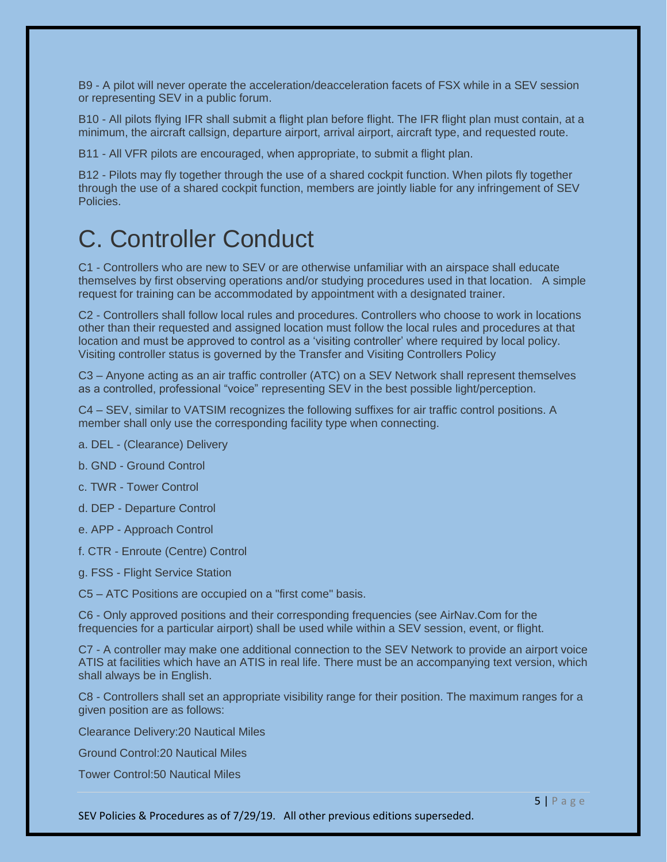B9 - A pilot will never operate the acceleration/deacceleration facets of FSX while in a SEV session or representing SEV in a public forum.

B10 - All pilots flying IFR shall submit a flight plan before flight. The IFR flight plan must contain, at a minimum, the aircraft callsign, departure airport, arrival airport, aircraft type, and requested route.

B11 - All VFR pilots are encouraged, when appropriate, to submit a flight plan.

B12 - Pilots may fly together through the use of a shared cockpit function. When pilots fly together through the use of a shared cockpit function, members are jointly liable for any infringement of SEV Policies.

## C. Controller Conduct

C1 - Controllers who are new to SEV or are otherwise unfamiliar with an airspace shall educate themselves by first observing operations and/or studying procedures used in that location. A simple request for training can be accommodated by appointment with a designated trainer.

C2 - Controllers shall follow local rules and procedures. Controllers who choose to work in locations other than their requested and assigned location must follow the local rules and procedures at that location and must be approved to control as a 'visiting controller' where required by local policy. Visiting controller status is governed by the Transfer and Visiting Controllers Policy

C3 – Anyone acting as an air traffic controller (ATC) on a SEV Network shall represent themselves as a controlled, professional "voice" representing SEV in the best possible light/perception.

C4 – SEV, similar to VATSIM recognizes the following suffixes for air traffic control positions. A member shall only use the corresponding facility type when connecting.

- a. DEL (Clearance) Delivery
- b. GND Ground Control
- c. TWR Tower Control
- d. DEP Departure Control
- e. APP Approach Control
- f. CTR Enroute (Centre) Control
- g. FSS Flight Service Station
- C5 ATC Positions are occupied on a "first come" basis.

C6 - Only approved positions and their corresponding frequencies (see AirNav.Com for the frequencies for a particular airport) shall be used while within a SEV session, event, or flight.

C7 - A controller may make one additional connection to the SEV Network to provide an airport voice ATIS at facilities which have an ATIS in real life. There must be an accompanying text version, which shall always be in English.

C8 - Controllers shall set an appropriate visibility range for their position. The maximum ranges for a given position are as follows:

Clearance Delivery:20 Nautical Miles

Ground Control:20 Nautical Miles

Tower Control:50 Nautical Miles

SEV Policies & Procedures as of 7/29/19. All other previous editions superseded.